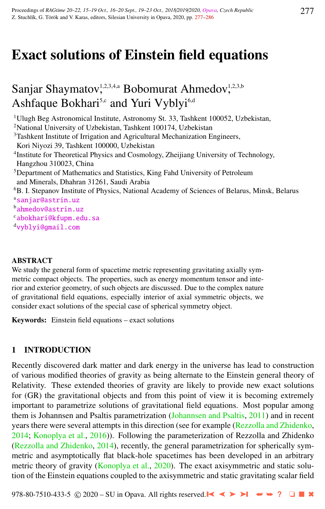# Exact solutions of Einstein field equations

# Sanjar Shaymatov,<sup>1,2,3,4,a</sup> Bobomurat Ahmedov,<sup>1,2,3,b</sup> Ashfaque Bokhari<sup>5,c</sup> and Yuri Vyblyi<sup>6,d</sup>

<sup>1</sup>Ulugh Beg Astronomical Institute, Astronomy St. 33, Tashkent 100052, Uzbekistan,

<sup>2</sup>National University of Uzbekistan, Tashkent 100174, Uzbekistan

<sup>3</sup>Tashkent Institute of Irrigation and Agricultural Mechanization Engineers, Kori Niyozi 39, Tashkent 100000, Uzbekistan

<sup>4</sup>Institute for Theoretical Physics and Cosmology, Zheijiang University of Technology, Hangzhou 310023, China

<sup>5</sup>Department of Mathematics and Statistics, King Fahd University of Petroleum and Minerals, Dhahran 31261, Saudi Arabia

<sup>6</sup>B. I. Stepanov Institute of Physics, National Academy of Sciences of Belarus, Minsk, Belarus a[sanjar@astrin.uz](http://www.physics.cz/ sanjar@astrin.uz)

<sup>b</sup>[ahmedov@astrin.uz](http://www.physics.cz/ ahmedov@astrin.uz)

<sup>c</sup>[abokhari@kfupm.edu.sa](http://www.physics.cz/ abokhari@kfupm.edu.sa)

<sup>d</sup>[vyblyi@gmail.com](http://www.physics.cz/ vyblyi@gmail.com)

#### ABSTRACT

We study the general form of spacetime metric representing gravitating axially symmetric compact objects. The properties, such as energy momentum tensor and interior and exterior geometry, of such objects are discussed. Due to the complex nature of gravitational field equations, especially interior of axial symmetric objects, we consider exact solutions of the special case of spherical symmetry object.

Keywords: Einstein field equations – exact solutions

### 1 INTRODUCTION

Recently discovered dark matter and dark energy in the universe has lead to construction of various modified theories of gravity as being alternate to the Einstein general theory of Relativity. These extended theories of gravity are likely to provide new exact solutions for (GR) the gravitational objects and from this point of view it is becoming extremely important to parametrize solutions of gravitational field equations. Most popular among them is Johannsen and Psaltis parametrization [\(Johannsen and Psaltis,](#page-8-0) [2011\)](#page-8-0) and in recent years there were several attempts in this direction (see for example [\(Rezzolla and Zhidenko,](#page-8-0) [2014;](#page-8-0) [Konoplya et al.,](#page-8-0) [2016\)](#page-8-0)). Following the parameterization of Rezzolla and Zhidenko [\(Rezzolla and Zhidenko,](#page-8-0) [2014\)](#page-8-0), recently, the general parametrization for spherically symmetric and asymptotically flat black-hole spacetimes has been developed in an arbitrary metric theory of gravity [\(Konoplya et al.,](#page-8-0) [2020\)](#page-8-0). The exact axisymmetric and static solution of the Einstein equations coupled to the axisymmetric and static gravitating scalar field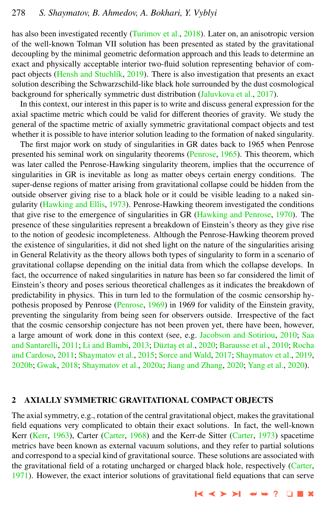has also been investigated recently [\(Turimov et al.,](#page-9-0) [2018\)](#page-9-0). Later on, an anisotropic version of the well-known Tolman VII solution has been presented as stated by the gravitational decoupling by the minimal geometric deformation approach and this leads to determine an exact and physically acceptable interior two-fluid solution representing behavior of com-pact objects (Hensh and Stuchlík, [2019\)](#page-8-0). There is also investigation that presents an exact solution describing the Schwarzschild-like black hole surrounded by the dust cosmological background for spherically symmetric dust distribution [\(Jaluvkova et al.,](#page-8-0) [2017\)](#page-8-0).

In this context, our interest in this paper is to write and discuss general expression for the axial spactime metric which could be valid for different theories of gravity. We study the general of the spactime metric of axially symmetric gravitational compact objects and test whether it is possible to have interior solution leading to the formation of naked singularity.

The first major work on study of singularities in GR dates back to 1965 when Penrose presented his seminal work on singularity theorems [\(Penrose,](#page-8-0) [1965\)](#page-8-0). This theorem, which was later called the Penrose-Hawking singularity theorem, implies that the occurrence of singularities in GR is inevitable as long as matter obeys certain energy conditions. The super-dense regions of matter arising from gravitational collapse could be hidden from the outside observer giving rise to a black hole or it could be visible leading to a naked singularity [\(Hawking and Ellis,](#page-8-0) [1973\)](#page-8-0). Penrose-Hawking theorem investigated the conditions that give rise to the emergence of singularities in GR [\(Hawking and Penrose,](#page-8-0) [1970\)](#page-8-0). The presence of these singularities represent a breakdown of Einstein's theory as they give rise to the notion of geodesic incompleteness. Although the Penrose-Hawking theorem proved the existence of singularities, it did not shed light on the nature of the singularities arising in General Relativity as the theory allows both types of singularity to form in a scenario of gravitational collapse depending on the initial data from which the collapse develops. In fact, the occurrence of naked singularities in nature has been so far considered the limit of Einstein's theory and poses serious theoretical challenges as it indicates the breakdown of predictability in physics. This in turn led to the formulation of the cosmic censorship hypothesis proposed by Penrose [\(Penrose,](#page-8-0) [1969\)](#page-8-0) in 1969 for validity of the Einstein gravity, preventing the singularity from being seen for observers outside. Irrespective of the fact that the cosmic censorship conjecture has not been proven yet, there have been, however, a large amount of work done in this context (see, e.g. [Jacobson and Sotiriou,](#page-8-0) [2010;](#page-8-0) [Saa](#page-8-0) [and Santarelli,](#page-8-0) [2011;](#page-8-0) [Li and Bambi,](#page-8-0) [2013;](#page-8-0) Düztaş et al., [2020;](#page-8-0) [Barausse et al.,](#page-8-0) [2010;](#page-8-0) [Rocha](#page-8-0) [and Cardoso,](#page-8-0) [2011;](#page-8-0) [Shaymatov et al.,](#page-9-0) [2015;](#page-9-0) [Sorce and Wald,](#page-9-0) [2017;](#page-9-0) [Shaymatov et al.,](#page-9-0) [2019,](#page-9-0) [2020b;](#page-9-0) [Gwak,](#page-8-0) [2018;](#page-8-0) [Shaymatov et al.,](#page-9-0) [2020a;](#page-9-0) [Jiang and Zhang,](#page-8-0) [2020;](#page-8-0) [Yang et al.,](#page-9-0) [2020\)](#page-9-0).

#### 2 AXIALLY SYMMETRIC GRAVITATIONAL COMPACT OBJECTS

The axial symmetry, e.g., rotation of the central gravitational object, makes the gravitational field equations very complicated to obtain their exact solutions. In fact, the well-known Kerr [\(Kerr,](#page-8-0) [1963\)](#page-8-0), Carter [\(Carter,](#page-8-0) [1968\)](#page-8-0) and the Kerr-de Sitter (Carter, [1973\)](#page-8-0) spacetime metrics have been known as external vacuum solutions, and they refer to partial solutions and correspond to a special kind of gravitational source. These solutions are associated with the gravitational field of a rotating uncharged or charged black hole, respectively [\(Carter,](#page-8-0) [1971\)](#page-8-0). However, the exact interior solutions of gravitational field equations that can serve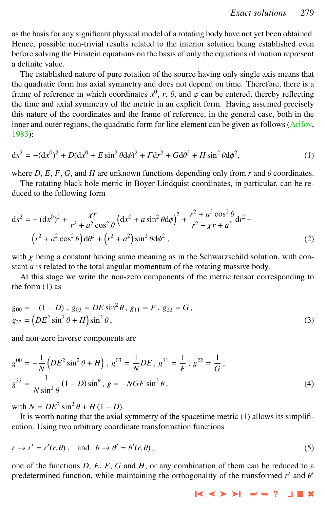<span id="page-2-0"></span>as the basis for any significant physical model of a rotating body have not yet been obtained. Hence, possible non-trivial results related to the interior solution being established even before solving the Einstein equations on the basis of only the equations of motion represent a definite value.

The established nature of pure rotation of the source having only single axis means that the quadratic form has axial symmetry and does not depend on time. Therefore, there is a frame of reference in which coordinates  $x^0$ ,  $r$ ,  $\theta$ , and  $\varphi$  can be entered, thereby reflecting the time and axial symmetry of the metric in an explicit form. Having assumed precisely the time and axial symmetry of the metric in an explicit form. Having assumed precisely this nature of the coordinates and the frame of reference, in the general case, both in the inner and outer regions, the quadratic form for line element can be given as follows [\(Arifov,](#page-8-0) [1983\)](#page-8-0):

$$
ds^{2} = -(dx^{0})^{2} + D(dx^{0} + E\sin^{2}\theta d\phi)^{2} + Fdr^{2} + Gd\theta^{2} + H\sin^{2}\theta d\phi^{2},
$$
 (1)

where  $D$ ,  $E$ ,  $F$ ,  $G$ , and  $H$  are unknown functions depending only from  $r$  and  $\theta$  coordinates.

The rotating black hole metric in Boyer-Lindquist coordinates, in particular, can be reduced to the following form

$$
ds^{2} = -(dx^{0})^{2} + \frac{\chi r}{r^{2} + a^{2} \cos^{2} \theta} \left( dx^{0} + a \sin^{2} \theta d\phi \right)^{2} + \frac{r^{2} + a^{2} \cos^{2} \theta}{r^{2} - \chi r + a^{2}} dr^{2} + (r^{2} + a^{2} \cos^{2} \theta) d\theta^{2} + (r^{2} + a^{2}) \sin^{2} \theta d\phi^{2},
$$
\n(2)

with  $\chi$  being a constant having same meaning as in the Schwarzschild solution, with constant *a* is related to the total angular momentum of the rotating massive body.

At this stage we write the non-zero components of the metric tensor corresponding to the form (1) as

$$
g_{00} = -(1 - D), g_{03} = DE \sin^2 \theta, g_{11} = F, g_{22} = G,
$$
  
\n
$$
g_{33} = (DE^2 \sin^2 \theta + H) \sin^2 \theta,
$$
\n(3)

and non-zero inverse components are

$$
g^{00} = -\frac{1}{N} \left( DE^2 \sin^2 \theta + H \right), g^{03} = \frac{1}{N} DE, g^{11} = \frac{1}{F}, g^{22} = \frac{1}{G}, g^{33} = \frac{1}{N \sin^2 \theta} (1 - D) \sin^{\theta}, g = -NGF \sin^2 \theta,
$$
\n(4)

with  $N = DE^2 \sin^2 \theta$ 

th  $N = DE^2 \sin^2 \theta + H(1 - D)$ .<br>It is worth noting that the axial symmetry of the spacetime metric (1) allows its simplification. Using two arbitrary coordinate transformation functions

$$
r \to r' = r'(r, \theta)
$$
, and  $\theta \to \theta' = \theta'(r, \theta)$ , (5)

one of the functions *D*, *E*, *F*, *G* and *H*, or any combination of them can be reduced to a predetermined function, while maintaining the orthogonality of the transformed  $r'$  and  $\theta'$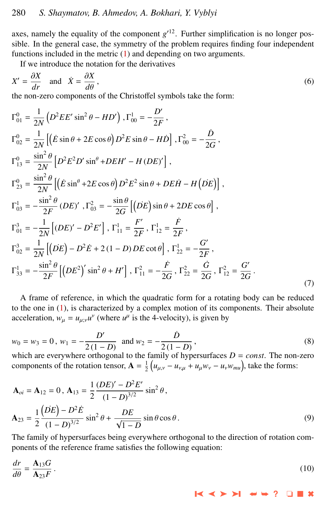axes, namely the equality of the component  $g^{\prime 12}$ . Further simplification is no longer possible. In the general case, the symmetry of the problem requires finding four independent functions included in the metric [\(1\)](#page-2-0) and depending on two arguments.

If we introduce the notation for the derivatives

$$
X' = \frac{\partial X}{\partial r} \text{ and } \dot{X} = \frac{\partial X}{\partial \theta},
$$
  
the non-zero components of the Christoffel symbols take the form: (6)

$$
\Gamma_{01}^{0} = \frac{1}{2N} \left( D^{2}EE' \sin^{2} \theta - HD' \right), \Gamma_{00}^{1} = -\frac{D'}{2F},
$$
\n
$$
\Gamma_{02}^{0} = \frac{1}{2N} \left[ \left( \dot{E} \sin \theta + 2E \cos \theta \right) D^{2}E \sin \theta - H\dot{D} \right], \Gamma_{00}^{2} = -\frac{\dot{D}}{2G},
$$
\n
$$
\Gamma_{13}^{0} = \frac{\sin^{2} \theta}{2N} \left[ D^{2}E^{2}D' \sin^{\theta} + DEH' - H (DE)' \right],
$$
\n
$$
\Gamma_{23}^{0} = \frac{\sin^{2} \theta}{2N} \left[ \left( \dot{E} \sin^{\theta} + 2E \cos \theta \right) D^{2}E^{2} \sin \theta + DE\dot{H} - H \left( \dot{DE} \right) \right],
$$
\n
$$
\Gamma_{03}^{1} = -\frac{\sin^{2} \theta}{2F} \left( DE \right)', \Gamma_{03}^{2} = -\frac{\sin \theta}{2G} \left[ \left( \dot{DE} \right) \sin \theta + 2DE \cos \theta \right],
$$
\n
$$
\Gamma_{01}^{3} = -\frac{1}{2N} \left[ \left( DE \right)' - D^{2}E' \right], \Gamma_{11}^{1} = \frac{F'}{2F}, \Gamma_{12}^{1} = \frac{\dot{F}}{2F},
$$
\n
$$
\Gamma_{02}^{3} = \frac{1}{2N} \left[ \left( DE \right) - D^{2}E + 2(1 - D) DE \cot \theta \right], \Gamma_{22}^{1} = -\frac{G'}{2F},
$$
\n
$$
\Gamma_{33}^{1} = -\frac{\sin^{2} \theta}{2F} \left[ \left( DE^{2} \right)' \sin^{2} \theta + H' \right], \Gamma_{11}^{2} = -\frac{\dot{F}}{2G}, \Gamma_{22}^{2} = \frac{\dot{G}}{2G}, \Gamma_{12}^{2} = \frac{G'}{2G}. \tag{7}
$$

A frame of reference, in which the quadratic form for a rotating body can be reduced to the one in [\(1\)](#page-2-0), is characterized by a complex motion of its components. Their absolute acceleration,  $w_{\mu} = u_{\mu;\nu} u^{\nu}$  (where  $u^{\mu}$  is the 4-velocity), is given by

$$
w_0 = w_3 = 0, w_1 = -\frac{D'}{2(1 - D)} \text{ and } w_2 = -\frac{D}{2(1 - D)},
$$
\n(8)

which are everywhere orthogonal to the family of hypersurfaces  $D = const$ . The non-zero components of the rotation tensor,  $\mathbf{A} = \frac{1}{2} \left( u_{\mu, \nu} - u_{\nu, \mu} + u_{\mu} w_{\nu} - u_{\nu} w_{mu} \right)$ , take the forms:

$$
\mathbf{A}_{oi} = \mathbf{A}_{12} = 0, \ \mathbf{A}_{13} = \frac{1}{2} \frac{(DE)' - D^2 E'}{(1 - D)^{3/2}} \sin^2 \theta,
$$
\n
$$
\mathbf{A}_{23} = \frac{1}{2} \frac{(DE) - D^2 E}{(1 - D)^{3/2}} \sin^2 \theta + \frac{DE}{\sqrt{1 - D}} \sin \theta \cos \theta.
$$
\n(9)

The family of hypersurfaces being everywhere orthogonal to the direction of rotation components of the reference frame satisfies the following equation:

$$
\frac{dr}{d\theta} = \frac{\mathbf{A}_{13}G}{\mathbf{A}_{23}F} \,. \tag{10}
$$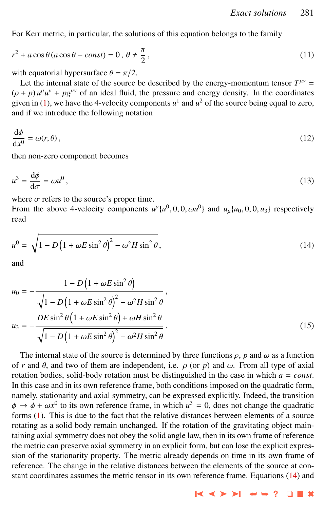<span id="page-4-0"></span>For Kerr metric, in particular, the solutions of this equation belongs to the family

$$
r^2 + a\cos\theta (a\cos\theta - const) = 0, \ \theta \neq \frac{\pi}{2}, \tag{11}
$$

with equatorial hypersurface  $\theta = \pi/2$ .

Let the internal state of the source be described by the energy-momentum tensor  $T^{\mu\nu}$  =  $(\rho + p) u^{\mu} u^{\nu} + pg^{\mu\nu}$  of an ideal fluid, the pressure and energy density. In the coordinates given in [\(1\)](#page-2-0), we have the 4-velocity components  $u^1$  and  $u^2$  of the source being equal to zero,  $\mu^{\mu}$ <sup> $\mu$ </sup>  $\mu$ <sup>*v*</sup> + *pg*<sup> $\mu$ *v*</sup> of an ideal fluid, the pressure and energy density. In the coordinates and if we introduce the following notation

$$
\frac{\mathrm{d}\phi}{\mathrm{d}x^0} = \omega(r,\theta),\tag{12}
$$

then non-zero component becomes

$$
u^3 = \frac{\mathrm{d}\phi}{\mathrm{d}\sigma} = \omega u^0 \,,\tag{13}
$$

where  $\sigma$  refers to the source's proper time.

where  $\sigma$  refers to the source's proper time.<br>From the above 4-velocity components  $u^{\mu}\{u^0, 0, 0, \omega u^0\}$  and  $u_{\mu}\{u_0, 0, 0, u_3\}$  respectively read

$$
u^{0} = \sqrt{1 - D\left(1 + \omega E \sin^{2} \theta\right)^{2} - \omega^{2} H \sin^{2} \theta},
$$
\n(14)

and

$$
u_0 = -\frac{1 - D\left(1 + \omega E \sin^2 \theta\right)}{\sqrt{1 - D\left(1 + \omega E \sin^2 \theta\right)^2 - \omega^2 H \sin^2 \theta}},
$$
  

$$
u_3 = -\frac{DE \sin^2 \theta \left(1 + \omega E \sin^2 \theta\right) + \omega H \sin^2 \theta}{\sqrt{1 - D\left(1 + \omega E \sin^2 \theta\right)^2 - \omega^2 H \sin^2 \theta}}.
$$
(15)

The internal state of the source is determined by three functions  $\rho$ , *p* and  $\omega$  as a function of *r* and  $\theta$ , and two of them are independent, i.e.  $\rho$  (or *p*) and  $\omega$ . From all type of axial of *r* and  $\theta$ , and two of them are independent, i.e.  $\rho$  (or  $p$ ) and  $\omega$ . From all type of axial rotation bodies, solid-body rotation must be distinguished in the case in which  $a = const$ . In this case and in its own reference frame, both conditions imposed on the quadratic form, namely, stationarity and axial symmetry, can be expressed explicitly. Indeed, the transition  $\phi \to \phi + \omega x^0$  to its own reference frame, in which  $u^3 = 0$ , does not change the quadratic forms (1). This is due to the fact that the relative distances between elements of a source forms [\(1\)](#page-2-0). This is due to the fact that the relative distances between elements of a source rotating as a solid body remain unchanged. If the rotation of the gravitating object maintaining axial symmetry does not obey the solid angle law, then in its own frame of reference the metric can preserve axial symmetry in an explicit form, but can lose the explicit expression of the stationarity property. The metric already depends on time in its own frame of reference. The change in the relative distances between the elements of the source at constant coordinates assumes the metric tensor in its own reference frame. Equations  $(14)$  and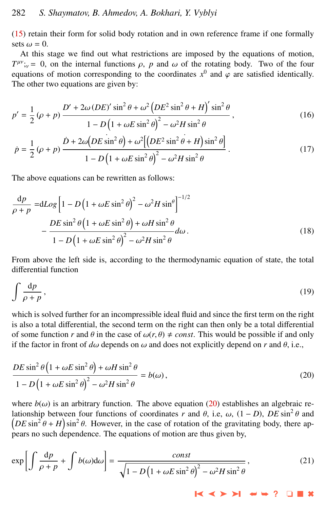<span id="page-5-0"></span>[\(15\)](#page-4-0) retain their form for solid body rotation and in own reference frame if one formally sets  $\omega = 0$ .

At this stage we find out what restrictions are imposed by the equations of motion,  $T^{\mu\nu}$ ;<sub>v</sub> = 0, on the internal functions  $\rho$ , *p* and  $\omega$  of the rotating body. Two of the four equations of motion corresponding to the coordinates  $x^0$  and  $\omega$  are satisfied identically equations of motion corresponding to the coordinates  $x^0$  and  $\varphi$  are satisfied identically.<br>The other two equations are given by: The other two equations are given by:

$$
p' = \frac{1}{2} \left( \rho + p \right) \frac{D' + 2\omega \left(DE\right)' \sin^2 \theta + \omega^2 \left(DE^2 \sin^2 \theta + H\right)' \sin^2 \theta}{1 - D \left(1 + \omega E \sin^2 \theta\right)^2 - \omega^2 H \sin^2 \theta},\tag{16}
$$

$$
\dot{p} = \frac{1}{2} \left( \rho + p \right) \frac{\dot{D} + 2\omega \left( DE \sin^2 \theta \right) + \omega^2 \left[ \left( DE^2 \sin^2 \theta + H \right) \sin^2 \theta \right]}{1 - D \left( 1 + \omega E \sin^2 \theta \right)^2 - \omega^2 H \sin^2 \theta}.
$$
\n(17)

The above equations can be rewritten as follows:

$$
\frac{dp}{\rho + p} = dLog \left[ 1 - D \left( 1 + \omega E \sin^2 \theta \right)^2 - \omega^2 H \sin^2 \theta \right]^{-1/2}
$$

$$
- \frac{DE \sin^2 \theta \left( 1 + \omega E \sin^2 \theta \right) + \omega H \sin^2 \theta}{1 - D \left( 1 + \omega E \sin^2 \theta \right)^2 - \omega^2 H \sin^2 \theta} d\omega.
$$
(18)

From above the left side is, according to the thermodynamic equation of state, the total differential function

$$
\int \frac{\mathrm{d}p}{\rho + p},\tag{19}
$$

which is solved further for an incompressible ideal fluid and since the first term on the right is also a total differential, the second term on the right can then only be a total differential of some function *r* and  $\theta$  in the case of  $\omega(r, \theta) \neq const$ . This would be possible if and only if the factor in front of  $d\omega$  depends on  $\omega$  and does not explicitly depend on *r* and  $\theta$ , i.e.,

$$
\frac{DE\sin^2\theta\left(1+\omega E\sin^2\theta\right)+\omega H\sin^2\theta}{1-D\left(1+\omega E\sin^2\theta\right)^2-\omega^2H\sin^2\theta}=b(\omega),
$$
\n(20)

where  $b(\omega)$  is an arbitrary function. The above equation (20) establishes an algebraic re-<br>lationship between four functions of coordinates r and  $\theta$ , i.e.,  $\omega$ ,  $(1 - D)$ ,  $DE \sin^2 \theta$  and lationship between four functions of coordinates *r* and  $\theta$ , i.e,  $\omega$ ,  $(1-D)$ ,  $DE \sin^2 \theta$  and  $(DE \sin^2 \theta + H) \sin^2 \theta$ . However, in the case of rotation of the gravitating body, there and  $\left(DE \sin^2 \theta + H\right) \sin^2 \theta$ . However, in the case of rotation of the gravitating body, there appears no such dependence. The equations of motion are thus given by pears no such dependence. The equations of motion are thus given by,

$$
\exp\left[\int \frac{dp}{\rho + p} + \int b(\omega)d\omega\right] = \frac{\text{const}}{\sqrt{1 - D\left(1 + \omega E \sin^2 \theta\right)^2 - \omega^2 H \sin^2 \theta}},\tag{21}
$$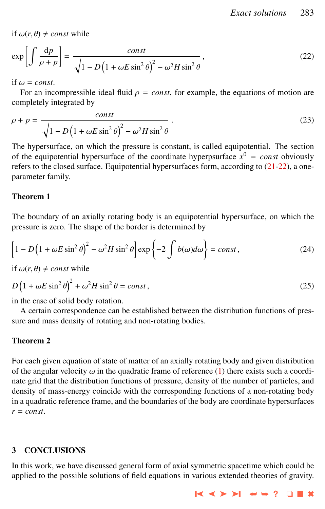if  $\omega(r, \theta) \neq const$  while

$$
\exp\left[\int \frac{dp}{\rho + p}\right] = \frac{const}{\sqrt{1 - D\left(1 + \omega E \sin^2 \theta\right)^2 - \omega^2 H \sin^2 \theta}},\tag{22}
$$

if  $\omega = const.$ 

For an incompressible ideal fluid  $\rho = const$ , for example, the equations of motion are completely integrated by

$$
\rho + p = \frac{const}{\sqrt{1 - D\left(1 + \omega E \sin^2 \theta\right)^2 - \omega^2 H \sin^2 \theta}}.
$$
\n(23)

The hypersurface, on which the pressure is constant, is called equipotential. The section of the equipotential hypersurface of the coordinate hyperpsurface  $x^0 = const$  obviously refers to the closed surface. Equipotential hypersurfaces form, according to [\(21-](#page-5-0)22), a oneparameter family.

## Theorem 1

The boundary of an axially rotating body is an equipotential hypersurface, on which the pressure is zero. The shape of the border is determined by

$$
\[1 - D\left(1 + \omega E \sin^2 \theta\right)^2 - \omega^2 H \sin^2 \theta\] \exp\left\{-2 \int b(\omega) d\omega\right\} = const,
$$
\n(24)

if  $\omega(r, \theta) \neq const$  while

$$
D\left(1+\omega E\sin^2\theta\right)^2+\omega^2H\sin^2\theta=const\,,\tag{25}
$$

in the case of solid body rotation.

A certain correspondence can be established between the distribution functions of pressure and mass density of rotating and non-rotating bodies.

### Theorem 2

For each given equation of state of matter of an axially rotating body and given distribution of the angular velocity  $\omega$  in the quadratic frame of reference [\(1\)](#page-2-0) there exists such a coordinate grid that the distribution functions of pressure, density of the number of particles, and density of mass-energy coincide with the corresponding functions of a non-rotating body in a quadratic reference frame, and the boundaries of the body are coordinate hypersurfaces *r* = *const*.

### 3 CONCLUSIONS

In this work, we have discussed general form of axial symmetric spacetime which could be applied to the possible solutions of field equations in various extended theories of gravity.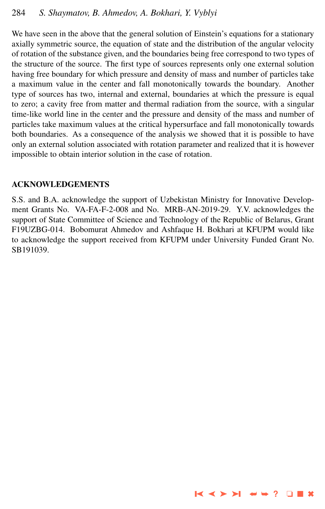We have seen in the above that the general solution of Einstein's equations for a stationary axially symmetric source, the equation of state and the distribution of the angular velocity of rotation of the substance given, and the boundaries being free correspond to two types of the structure of the source. The first type of sources represents only one external solution having free boundary for which pressure and density of mass and number of particles take a maximum value in the center and fall monotonically towards the boundary. Another type of sources has two, internal and external, boundaries at which the pressure is equal to zero; a cavity free from matter and thermal radiation from the source, with a singular time-like world line in the center and the pressure and density of the mass and number of particles take maximum values at the critical hypersurface and fall monotonically towards both boundaries. As a consequence of the analysis we showed that it is possible to have only an external solution associated with rotation parameter and realized that it is however impossible to obtain interior solution in the case of rotation.

# ACKNOWLEDGEMENTS

S.S. and B.A. acknowledge the support of Uzbekistan Ministry for Innovative Development Grants No. VA-FA-F-2-008 and No. MRB-AN-2019-29. Y.V. acknowledges the support of State Committee of Science and Technology of the Republic of Belarus, Grant F19UZBG-014. Bobomurat Ahmedov and Ashfaque H. Bokhari at KFUPM would like to acknowledge the support received from KFUPM under University Funded Grant No. SB191039.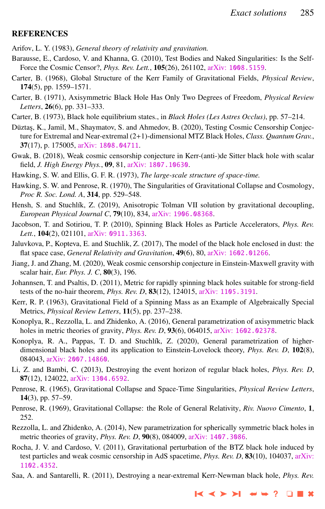#### <span id="page-8-0"></span>**REFERENCES**

Arifov, L. Y. (1983), *General theory of relativity and gravitation.*

- Barausse, E., Cardoso, V. and Khanna, G. (2010), Test Bodies and Naked Singularities: Is the Self-Force the Cosmic Censor?, *Phys. Rev. Lett.*, 105(26), 261102, arXiv: [1008.5159](http://www.arxiv.org/abs/1008.5159).
- Carter, B. (1968), Global Structure of the Kerr Family of Gravitational Fields, *Physical Review*, 174(5), pp. 1559–1571.
- Carter, B. (1971), Axisymmetric Black Hole Has Only Two Degrees of Freedom, *Physical Review Letters*, 26(6), pp. 331–333.
- Carter, B. (1973), Black hole equilibrium states., in *Black Holes (Les Astres Occlus)*, pp. 57–214.
- Düztaş, K., Jamil, M., Shaymatov, S. and Ahmedov, B. (2020), Testing Cosmic Censorship Conjecture for Extremal and Near-extremal (2+1)-dimensional MTZ Black Holes, *Class. Quantum Grav.*, 37(17), p. 175005, arXiv: [1808.04711](http://www.arxiv.org/abs/1808.04711).
- Gwak, B. (2018), Weak cosmic censorship conjecture in Kerr-(anti-)de Sitter black hole with scalar field, *J. High Energy Phys.*, 09, 81, arXiv: [1807.10630](http://www.arxiv.org/abs/1807.10630).
- Hawking, S. W. and Ellis, G. F. R. (1973), *The large-scale structure of space-time.*
- Hawking, S. W. and Penrose, R. (1970), The Singularities of Gravitational Collapse and Cosmology, *Proc R. Soc. Lond. A*, 314, pp. 529–548.
- Hensh, S. and Stuchlík, Z. (2019), Anisotropic Tolman VII solution by gravitational decoupling, *European Physical Journal C*, 79(10), 834, arXiv: [1906.08368](http://www.arxiv.org/abs/1906.08368).
- Jacobson, T. and Sotiriou, T. P. (2010), Spinning Black Holes as Particle Accelerators, *Phys. Rev.* Lett., 104(2), 021101, arXiv: [0911.3363](http://www.arxiv.org/abs/0911.3363).
- Jaluvkova, P., Kopteva, E. and Stuchlik, Z. (2017), The model of the black hole enclosed in dust: the flat space case, *General Relativity and Gravitation*, 49(6), 80, arXiv: [1602.01266](http://www.arxiv.org/abs/1602.01266).
- Jiang, J. and Zhang, M. (2020), Weak cosmic censorship conjecture in Einstein-Maxwell gravity with scalar hair, *Eur. Phys. J. C*, 80(3), 196.
- Johannsen, T. and Psaltis, D. (2011), Metric for rapidly spinning black holes suitable for strong-field tests of the no-hair theorem, *Phys. Rev. D*, 83(12), 124015, arXiv: [1105.3191](http://www.arxiv.org/abs/1105.3191).
- Kerr, R. P. (1963), Gravitational Field of a Spinning Mass as an Example of Algebraically Special Metrics, *Physical Review Letters*, 11(5), pp. 237–238.
- Konoplya, R., Rezzolla, L. and Zhidenko, A. (2016), General parametrization of axisymmetric black holes in metric theories of gravity, *Phys. Rev. D*, 93(6), 064015, arXiv: [1602.02378](http://www.arxiv.org/abs/1602.02378).
- Konoplya, R. A., Pappas, T. D. and Stuchlík, Z. (2020), General parametrization of higherdimensional black holes and its application to Einstein-Lovelock theory, *Phys. Rev. D*, 102(8), 084043, arXiv: [2007.14860](http://www.arxiv.org/abs/2007.14860).
- Li, Z. and Bambi, C. (2013), Destroying the event horizon of regular black holes, *Phys. Rev. D*, 87(12), 124022, arXiv: [1304.6592](http://www.arxiv.org/abs/1304.6592).
- Penrose, R. (1965), Gravitational Collapse and Space-Time Singularities, *Physical Review Letters*, 14(3), pp. 57–59.
- Penrose, R. (1969), Gravitational Collapse: the Role of General Relativity, *Riv. Nuovo Cimento*, 1, 252.
- Rezzolla, L. and Zhidenko, A. (2014), New parametrization for spherically symmetric black holes in metric theories of gravity, *Phys. Rev. D*, 90(8), 084009, arXiv: [1407.3086](http://www.arxiv.org/abs/1407.3086).
- Rocha, J. V. and Cardoso, V. (2011), Gravitational perturbation of the BTZ black hole induced by test particles and weak cosmic censorship in AdS spacetime, *Phys. Rev. D*, 83(10), 104037, [arXiv:](http://www.arxiv.org/abs/1102.4352) [1102.4352](http://www.arxiv.org/abs/1102.4352).
- Saa, A. and Santarelli, R. (2011), Destroying a near-extremal Kerr-Newman black hole, *Phys. Rev.*